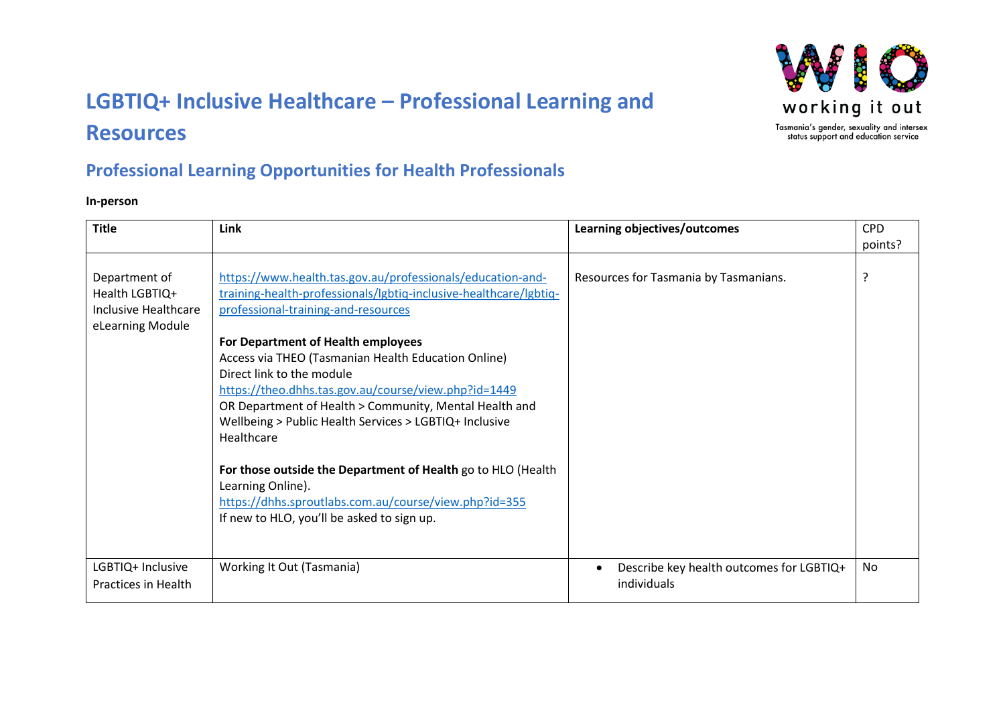# **LGBTIQ+ Inclusive Healthcare – Professional Learning and Resources**



## **Professional Learning Opportunities for Health Professionals**

#### **In-person**

| <b>Title</b>                                                                | Link                                                                                                                                                                                                                                                                                                                                                                                                                                                                                                                                                                                                                                                                                   | Learning objectives/outcomes                            | <b>CPD</b><br>points? |
|-----------------------------------------------------------------------------|----------------------------------------------------------------------------------------------------------------------------------------------------------------------------------------------------------------------------------------------------------------------------------------------------------------------------------------------------------------------------------------------------------------------------------------------------------------------------------------------------------------------------------------------------------------------------------------------------------------------------------------------------------------------------------------|---------------------------------------------------------|-----------------------|
| Department of<br>Health LGBTIQ+<br>Inclusive Healthcare<br>eLearning Module | https://www.health.tas.gov.au/professionals/education-and-<br>training-health-professionals/lgbtiq-inclusive-healthcare/lgbtiq-<br>professional-training-and-resources<br>For Department of Health employees<br>Access via THEO (Tasmanian Health Education Online)<br>Direct link to the module<br>https://theo.dhhs.tas.gov.au/course/view.php?id=1449<br>OR Department of Health > Community, Mental Health and<br>Wellbeing > Public Health Services > LGBTIQ+ Inclusive<br>Healthcare<br>For those outside the Department of Health go to HLO (Health<br>Learning Online).<br>https://dhhs.sproutlabs.com.au/course/view.php?id=355<br>If new to HLO, you'll be asked to sign up. | Resources for Tasmania by Tasmanians.                   | ?                     |
| LGBTIQ+ Inclusive<br>Practices in Health                                    | Working It Out (Tasmania)                                                                                                                                                                                                                                                                                                                                                                                                                                                                                                                                                                                                                                                              | Describe key health outcomes for LGBTIQ+<br>individuals | No                    |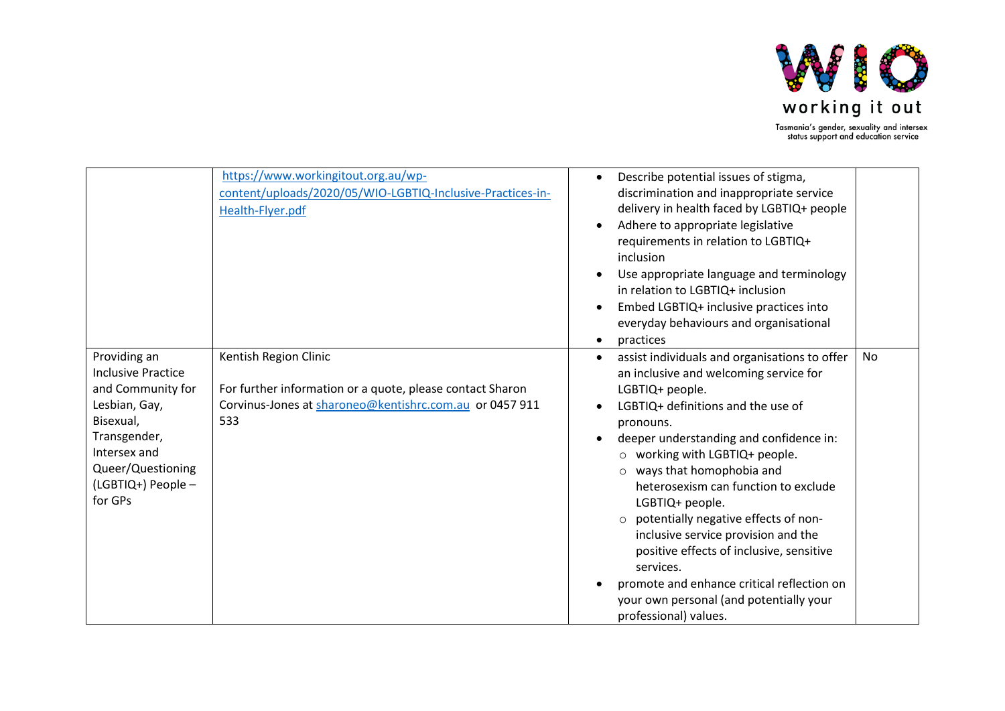

|                                                                                                                                                                                    | https://www.workingitout.org.au/wp-<br>content/uploads/2020/05/WIO-LGBTIQ-Inclusive-Practices-in-<br>Health-Flyer.pdf                                | Describe potential issues of stigma,<br>$\bullet$<br>discrimination and inappropriate service<br>delivery in health faced by LGBTIQ+ people<br>Adhere to appropriate legislative<br>requirements in relation to LGBTIQ+<br>inclusion<br>Use appropriate language and terminology<br>in relation to LGBTIQ+ inclusion<br>Embed LGBTIQ+ inclusive practices into<br>everyday behaviours and organisational<br>practices                                                                                                                                                                                                                 |
|------------------------------------------------------------------------------------------------------------------------------------------------------------------------------------|------------------------------------------------------------------------------------------------------------------------------------------------------|---------------------------------------------------------------------------------------------------------------------------------------------------------------------------------------------------------------------------------------------------------------------------------------------------------------------------------------------------------------------------------------------------------------------------------------------------------------------------------------------------------------------------------------------------------------------------------------------------------------------------------------|
| Providing an<br><b>Inclusive Practice</b><br>and Community for<br>Lesbian, Gay,<br>Bisexual,<br>Transgender,<br>Intersex and<br>Queer/Questioning<br>(LGBTIQ+) People -<br>for GPs | Kentish Region Clinic<br>For further information or a quote, please contact Sharon<br>Corvinus-Jones at sharoneo@kentishrc.com.au or 0457 911<br>533 | assist individuals and organisations to offer<br><b>No</b><br>$\bullet$<br>an inclusive and welcoming service for<br>LGBTIQ+ people.<br>LGBTIQ+ definitions and the use of<br>pronouns.<br>deeper understanding and confidence in:<br>$\circ$ working with LGBTIQ+ people.<br>$\circ$ ways that homophobia and<br>heterosexism can function to exclude<br>LGBTIQ+ people.<br>o potentially negative effects of non-<br>inclusive service provision and the<br>positive effects of inclusive, sensitive<br>services.<br>promote and enhance critical reflection on<br>your own personal (and potentially your<br>professional) values. |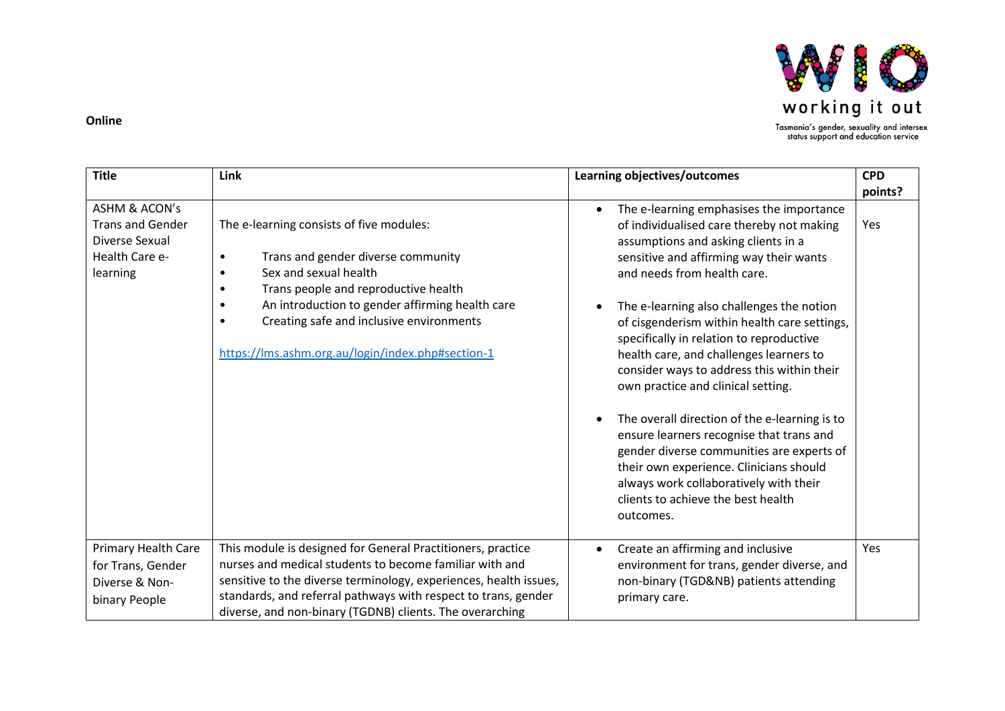

#### **Online**

| <b>Title</b>                                                                                        | Link                                                                                                                                                                                                                                                                                                                      | Learning objectives/outcomes                                                                                                                                                                                                                                                                                                                                                                                                                                                   | <b>CPD</b> |
|-----------------------------------------------------------------------------------------------------|---------------------------------------------------------------------------------------------------------------------------------------------------------------------------------------------------------------------------------------------------------------------------------------------------------------------------|--------------------------------------------------------------------------------------------------------------------------------------------------------------------------------------------------------------------------------------------------------------------------------------------------------------------------------------------------------------------------------------------------------------------------------------------------------------------------------|------------|
|                                                                                                     |                                                                                                                                                                                                                                                                                                                           |                                                                                                                                                                                                                                                                                                                                                                                                                                                                                | points?    |
| <b>ASHM &amp; ACON's</b><br><b>Trans and Gender</b><br>Diverse Sexual<br>Health Care e-<br>learning | The e-learning consists of five modules:<br>Trans and gender diverse community<br>Sex and sexual health<br>$\bullet$<br>Trans people and reproductive health<br>An introduction to gender affirming health care<br>Creating safe and inclusive environments<br>https://lms.ashm.org.au/login/index.php#section-1          | The e-learning emphasises the importance<br>of individualised care thereby not making<br>assumptions and asking clients in a<br>sensitive and affirming way their wants<br>and needs from health care.<br>The e-learning also challenges the notion<br>of cisgenderism within health care settings,<br>specifically in relation to reproductive<br>health care, and challenges learners to<br>consider ways to address this within their<br>own practice and clinical setting. | Yes        |
|                                                                                                     |                                                                                                                                                                                                                                                                                                                           | The overall direction of the e-learning is to<br>ensure learners recognise that trans and<br>gender diverse communities are experts of<br>their own experience. Clinicians should<br>always work collaboratively with their<br>clients to achieve the best health<br>outcomes.                                                                                                                                                                                                 |            |
| Primary Health Care<br>for Trans, Gender<br>Diverse & Non-<br>binary People                         | This module is designed for General Practitioners, practice<br>nurses and medical students to become familiar with and<br>sensitive to the diverse terminology, experiences, health issues,<br>standards, and referral pathways with respect to trans, gender<br>diverse, and non-binary (TGDNB) clients. The overarching | Create an affirming and inclusive<br>environment for trans, gender diverse, and<br>non-binary (TGD&NB) patients attending<br>primary care.                                                                                                                                                                                                                                                                                                                                     | Yes        |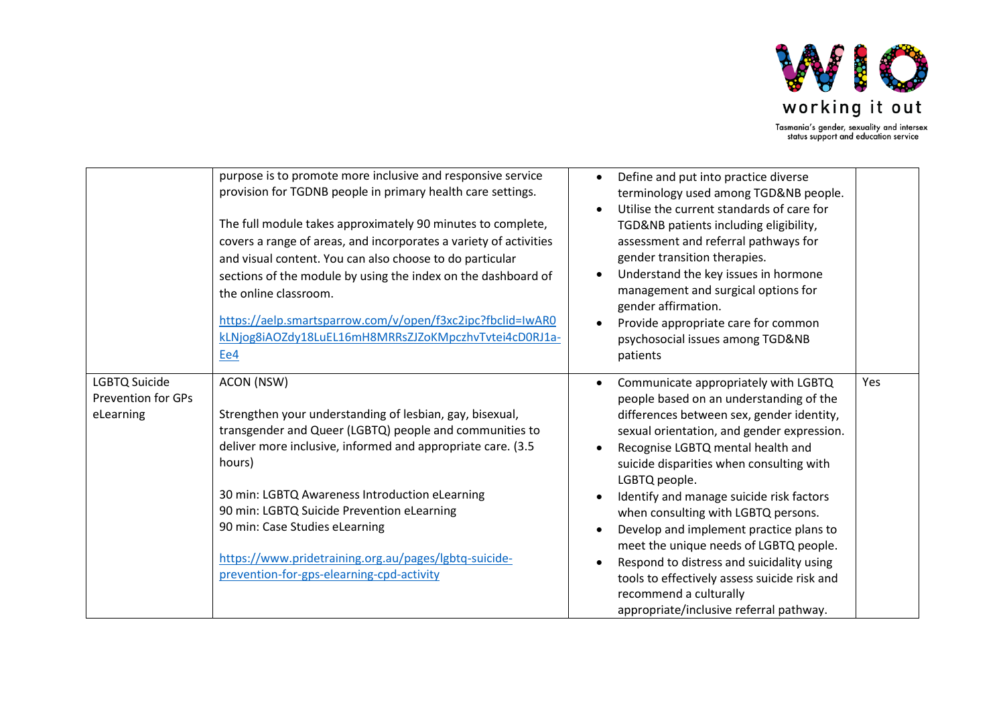

|                                                                | purpose is to promote more inclusive and responsive service<br>provision for TGDNB people in primary health care settings.<br>The full module takes approximately 90 minutes to complete,<br>covers a range of areas, and incorporates a variety of activities<br>and visual content. You can also choose to do particular<br>sections of the module by using the index on the dashboard of<br>the online classroom.<br>https://aelp.smartsparrow.com/v/open/f3xc2ipc?fbclid=IwAR0<br>kLNjog8iAOZdy18LuEL16mH8MRRsZJZoKMpczhvTvtei4cD0RJ1a-<br>Ee4 | Define and put into practice diverse<br>terminology used among TGD&NB people.<br>Utilise the current standards of care for<br>TGD&NB patients including eligibility,<br>assessment and referral pathways for<br>gender transition therapies.<br>Understand the key issues in hormone<br>management and surgical options for<br>gender affirmation.<br>Provide appropriate care for common<br>psychosocial issues among TGD&NB<br>patients                                                                                                                                                                              |     |
|----------------------------------------------------------------|----------------------------------------------------------------------------------------------------------------------------------------------------------------------------------------------------------------------------------------------------------------------------------------------------------------------------------------------------------------------------------------------------------------------------------------------------------------------------------------------------------------------------------------------------|------------------------------------------------------------------------------------------------------------------------------------------------------------------------------------------------------------------------------------------------------------------------------------------------------------------------------------------------------------------------------------------------------------------------------------------------------------------------------------------------------------------------------------------------------------------------------------------------------------------------|-----|
| <b>LGBTQ Suicide</b><br><b>Prevention for GPs</b><br>eLearning | ACON (NSW)<br>Strengthen your understanding of lesbian, gay, bisexual,<br>transgender and Queer (LGBTQ) people and communities to<br>deliver more inclusive, informed and appropriate care. (3.5<br>hours)<br>30 min: LGBTQ Awareness Introduction eLearning<br>90 min: LGBTQ Suicide Prevention eLearning<br>90 min: Case Studies eLearning<br>https://www.pridetraining.org.au/pages/lgbtq-suicide-<br>prevention-for-gps-elearning-cpd-activity                                                                                                 | Communicate appropriately with LGBTQ<br>people based on an understanding of the<br>differences between sex, gender identity,<br>sexual orientation, and gender expression.<br>Recognise LGBTQ mental health and<br>suicide disparities when consulting with<br>LGBTQ people.<br>Identify and manage suicide risk factors<br>when consulting with LGBTQ persons.<br>Develop and implement practice plans to<br>meet the unique needs of LGBTQ people.<br>Respond to distress and suicidality using<br>tools to effectively assess suicide risk and<br>recommend a culturally<br>appropriate/inclusive referral pathway. | Yes |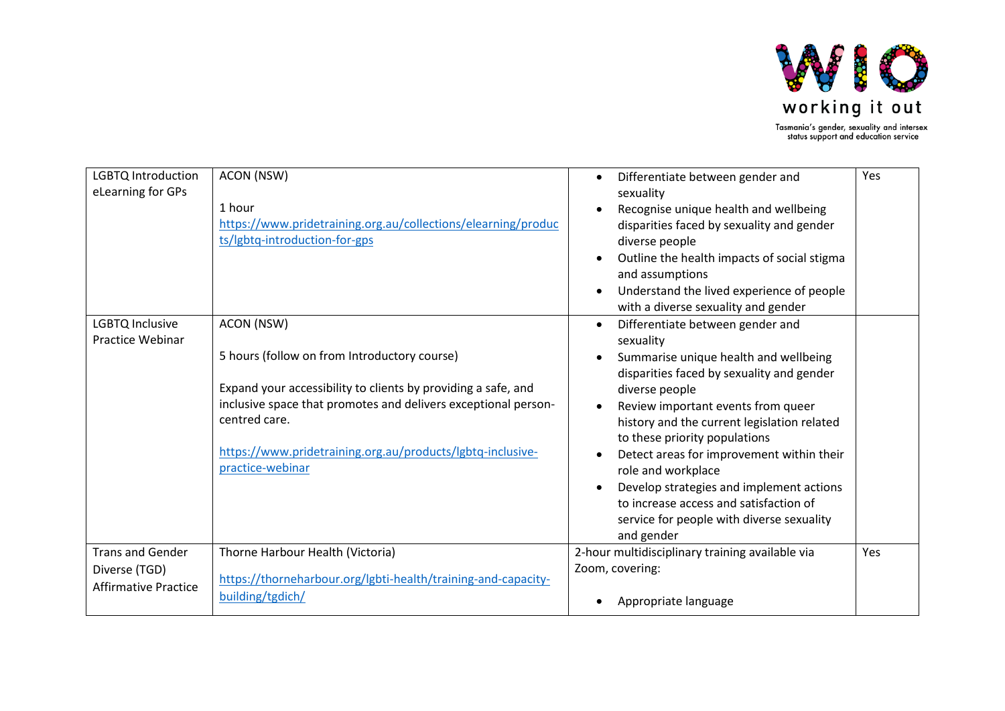

LGBTQ Introduction eLearning for GPs ACON (NSW) 1 hour [https://www.pridetraining.org.au/collections/elearning/produc](https://www.pridetraining.org.au/collections/elearning/products/lgbtq-introduction-for-gps) [ts/lgbtq-introduction-for-gps](https://www.pridetraining.org.au/collections/elearning/products/lgbtq-introduction-for-gps) • Differentiate between gender and sexuality • Recognise unique health and wellbeing disparities faced by sexuality and gender diverse people • Outline the health impacts of social stigma and assumptions • Understand the lived experience of people with a diverse sexuality and gender Yes LGBTQ Inclusive Practice Webinar ACON (NSW) 5 hours (follow on from Introductory course) Expand your accessibility to clients by providing a safe, and inclusive space that promotes and delivers exceptional personcentred care. [https://www.pridetraining.org.au/products/lgbtq-inclusive](https://www.pridetraining.org.au/products/lgbtq-inclusive-practice-webinar)[practice-webinar](https://www.pridetraining.org.au/products/lgbtq-inclusive-practice-webinar) • Differentiate between gender and sexuality • Summarise unique health and wellbeing disparities faced by sexuality and gender diverse people • Review important events from queer history and the current legislation related to these priority populations • Detect areas for improvement within their role and workplace • Develop strategies and implement actions to increase access and satisfaction of service for people with diverse sexuality and gender Trans and Gender Diverse (TGD) Affirmative Practice Thorne Harbour Health (Victoria) [https://thorneharbour.org/lgbti-health/training-and-capacity](https://thorneharbour.org/lgbti-health/training-and-capacity-building/tgdich/)[building/tgdich/](https://thorneharbour.org/lgbti-health/training-and-capacity-building/tgdich/) 2-hour multidisciplinary training available via Zoom, covering: • Appropriate language Yes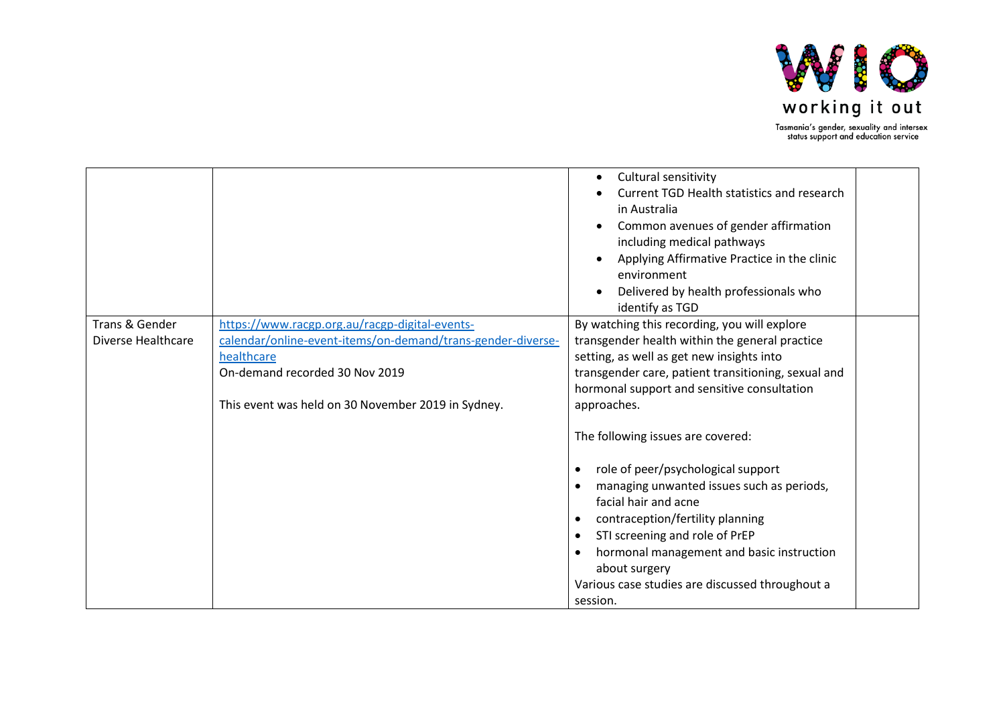

|                    |                                                             | Cultural sensitivity<br>Current TGD Health statistics and research<br>in Australia<br>Common avenues of gender affirmation<br>including medical pathways<br>Applying Affirmative Practice in the clinic<br>environment<br>Delivered by health professionals who<br>identify as TGD |
|--------------------|-------------------------------------------------------------|------------------------------------------------------------------------------------------------------------------------------------------------------------------------------------------------------------------------------------------------------------------------------------|
| Trans & Gender     | https://www.racgp.org.au/racgp-digital-events-              | By watching this recording, you will explore                                                                                                                                                                                                                                       |
| Diverse Healthcare | calendar/online-event-items/on-demand/trans-gender-diverse- | transgender health within the general practice                                                                                                                                                                                                                                     |
|                    | healthcare                                                  | setting, as well as get new insights into                                                                                                                                                                                                                                          |
|                    | On-demand recorded 30 Nov 2019                              | transgender care, patient transitioning, sexual and                                                                                                                                                                                                                                |
|                    |                                                             | hormonal support and sensitive consultation                                                                                                                                                                                                                                        |
|                    | This event was held on 30 November 2019 in Sydney.          | approaches.                                                                                                                                                                                                                                                                        |
|                    |                                                             | The following issues are covered:                                                                                                                                                                                                                                                  |
|                    |                                                             | role of peer/psychological support                                                                                                                                                                                                                                                 |
|                    |                                                             | managing unwanted issues such as periods,                                                                                                                                                                                                                                          |
|                    |                                                             | facial hair and acne                                                                                                                                                                                                                                                               |
|                    |                                                             | contraception/fertility planning                                                                                                                                                                                                                                                   |
|                    |                                                             | STI screening and role of PrEP                                                                                                                                                                                                                                                     |
|                    |                                                             | hormonal management and basic instruction<br>about surgery                                                                                                                                                                                                                         |
|                    |                                                             | Various case studies are discussed throughout a                                                                                                                                                                                                                                    |
|                    |                                                             | session.                                                                                                                                                                                                                                                                           |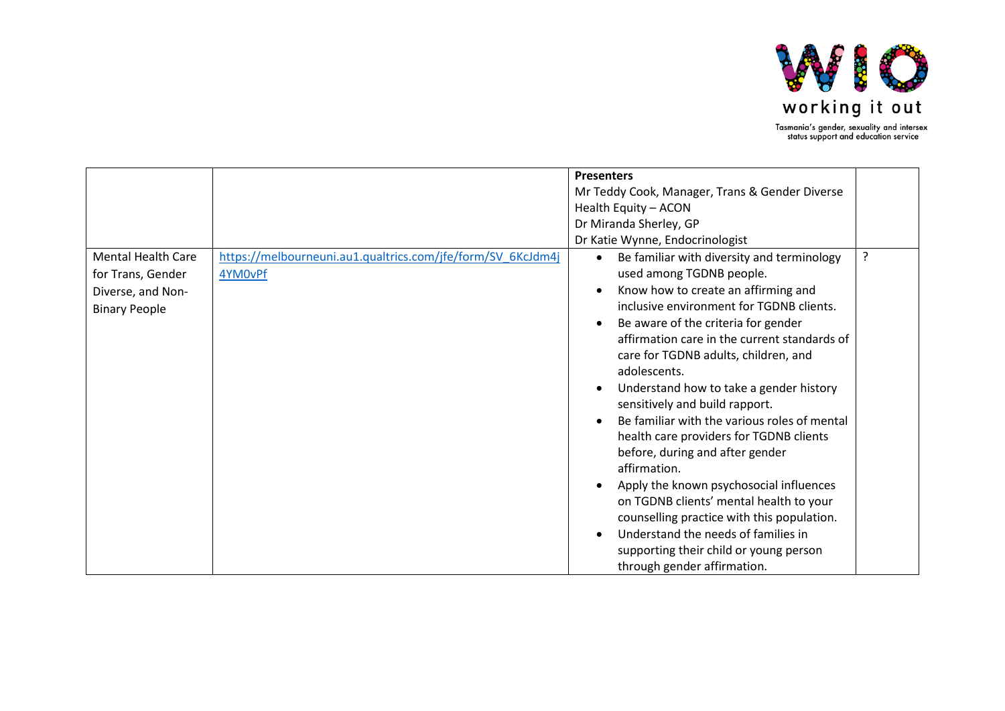

|                                                                                             |                                                                        | <b>Presenters</b>                                                                                                                                                                                                                                                                                                                                                                                                                                                                                                                                                                                                                                                                                                                                                     |   |
|---------------------------------------------------------------------------------------------|------------------------------------------------------------------------|-----------------------------------------------------------------------------------------------------------------------------------------------------------------------------------------------------------------------------------------------------------------------------------------------------------------------------------------------------------------------------------------------------------------------------------------------------------------------------------------------------------------------------------------------------------------------------------------------------------------------------------------------------------------------------------------------------------------------------------------------------------------------|---|
|                                                                                             |                                                                        |                                                                                                                                                                                                                                                                                                                                                                                                                                                                                                                                                                                                                                                                                                                                                                       |   |
|                                                                                             |                                                                        | Mr Teddy Cook, Manager, Trans & Gender Diverse                                                                                                                                                                                                                                                                                                                                                                                                                                                                                                                                                                                                                                                                                                                        |   |
|                                                                                             |                                                                        | Health Equity - ACON                                                                                                                                                                                                                                                                                                                                                                                                                                                                                                                                                                                                                                                                                                                                                  |   |
|                                                                                             |                                                                        | Dr Miranda Sherley, GP                                                                                                                                                                                                                                                                                                                                                                                                                                                                                                                                                                                                                                                                                                                                                |   |
|                                                                                             |                                                                        | Dr Katie Wynne, Endocrinologist                                                                                                                                                                                                                                                                                                                                                                                                                                                                                                                                                                                                                                                                                                                                       |   |
| <b>Mental Health Care</b><br>for Trans, Gender<br>Diverse, and Non-<br><b>Binary People</b> | https://melbourneuni.au1.qualtrics.com/jfe/form/SV 6KcJdm4j<br>4YM0vPf | Be familiar with diversity and terminology<br>$\bullet$<br>used among TGDNB people.<br>Know how to create an affirming and<br>inclusive environment for TGDNB clients.<br>Be aware of the criteria for gender<br>affirmation care in the current standards of<br>care for TGDNB adults, children, and<br>adolescents.<br>Understand how to take a gender history<br>sensitively and build rapport.<br>Be familiar with the various roles of mental<br>health care providers for TGDNB clients<br>before, during and after gender<br>affirmation.<br>Apply the known psychosocial influences<br>on TGDNB clients' mental health to your<br>counselling practice with this population.<br>Understand the needs of families in<br>supporting their child or young person | ? |
|                                                                                             |                                                                        | through gender affirmation.                                                                                                                                                                                                                                                                                                                                                                                                                                                                                                                                                                                                                                                                                                                                           |   |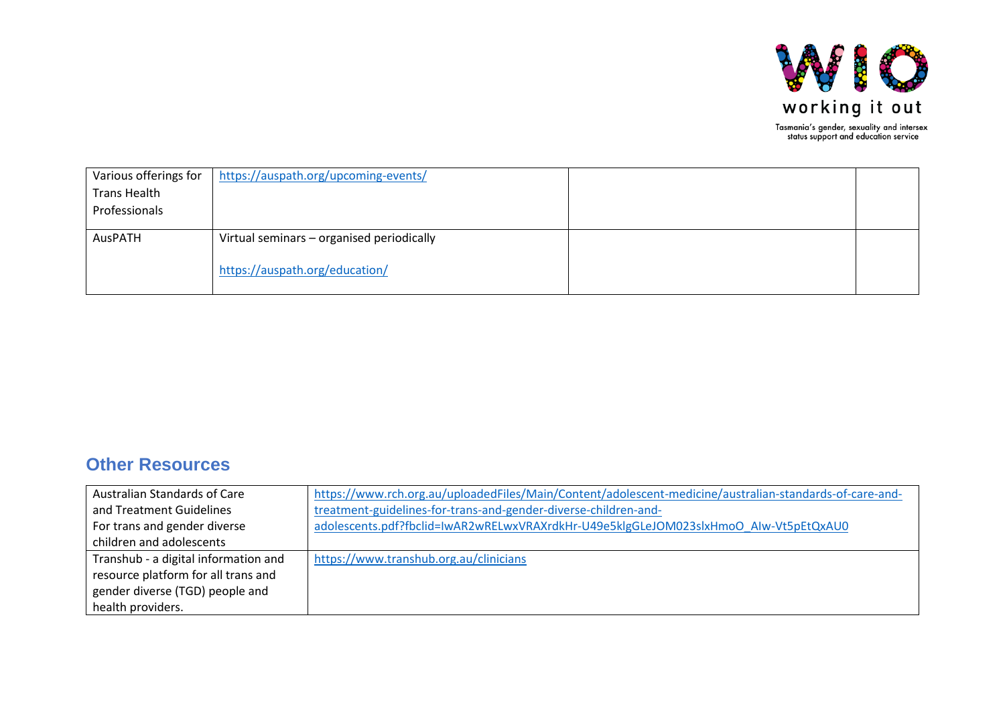

| Various offerings for | https://auspath.org/upcoming-events/      |  |
|-----------------------|-------------------------------------------|--|
| <b>Trans Health</b>   |                                           |  |
| Professionals         |                                           |  |
|                       |                                           |  |
| AusPATH               | Virtual seminars - organised periodically |  |
|                       |                                           |  |
|                       | https://auspath.org/education/            |  |
|                       |                                           |  |

### **Other Resources**

| Australian Standards of Care         | https://www.rch.org.au/uploadedFiles/Main/Content/adolescent-medicine/australian-standards-of-care-and- |
|--------------------------------------|---------------------------------------------------------------------------------------------------------|
| and Treatment Guidelines             | treatment-guidelines-for-trans-and-gender-diverse-children-and-                                         |
| For trans and gender diverse         | adolescents.pdf?fbclid=IwAR2wRELwxVRAXrdkHr-U49e5klgGLeJOM023slxHmoO AIw-Vt5pEtQxAU0                    |
| children and adolescents             |                                                                                                         |
| Transhub - a digital information and | https://www.transhub.org.au/clinicians                                                                  |
| resource platform for all trans and  |                                                                                                         |
| gender diverse (TGD) people and      |                                                                                                         |
| health providers.                    |                                                                                                         |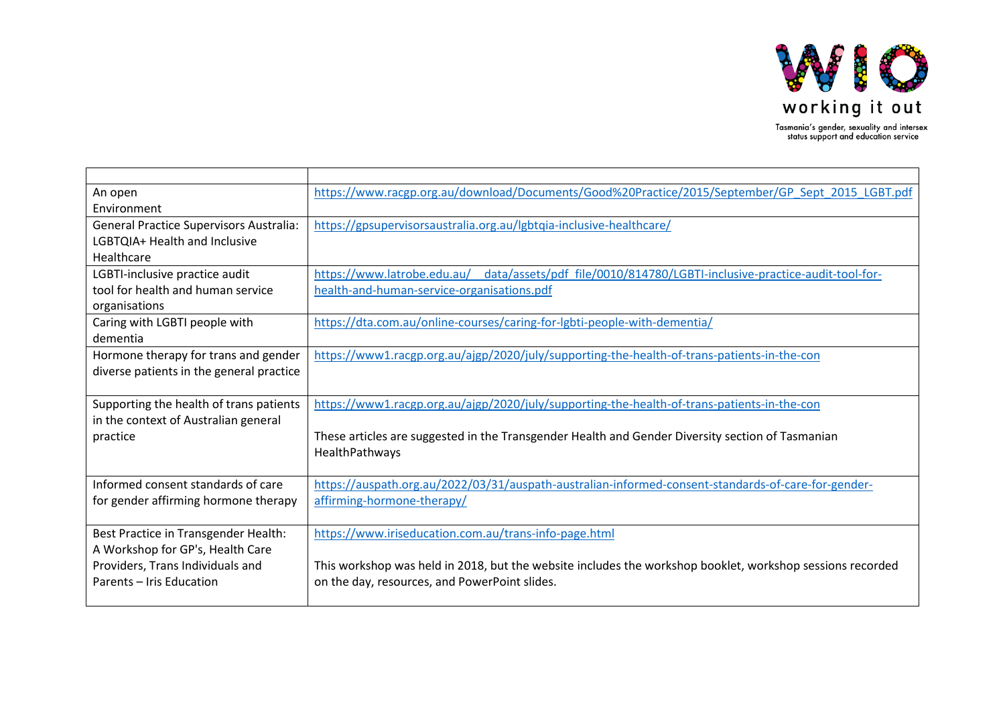

| An open                                        | https://www.racgp.org.au/download/Documents/Good%20Practice/2015/September/GP Sept 2015 LGBT.pdf          |
|------------------------------------------------|-----------------------------------------------------------------------------------------------------------|
| Environment                                    |                                                                                                           |
| <b>General Practice Supervisors Australia:</b> | https://gpsupervisorsaustralia.org.au/lgbtqia-inclusive-healthcare/                                       |
| LGBTQIA+ Health and Inclusive                  |                                                                                                           |
| Healthcare                                     |                                                                                                           |
| LGBTI-inclusive practice audit                 | https://www.latrobe.edu.au/ data/assets/pdf file/0010/814780/LGBTI-inclusive-practice-audit-tool-for-     |
| tool for health and human service              | health-and-human-service-organisations.pdf                                                                |
| organisations                                  |                                                                                                           |
| Caring with LGBTI people with                  | https://dta.com.au/online-courses/caring-for-lgbti-people-with-dementia/                                  |
| dementia                                       |                                                                                                           |
| Hormone therapy for trans and gender           | https://www1.racgp.org.au/ajgp/2020/july/supporting-the-health-of-trans-patients-in-the-con               |
| diverse patients in the general practice       |                                                                                                           |
|                                                |                                                                                                           |
| Supporting the health of trans patients        | https://www1.racgp.org.au/ajgp/2020/july/supporting-the-health-of-trans-patients-in-the-con               |
| in the context of Australian general           |                                                                                                           |
| practice                                       | These articles are suggested in the Transgender Health and Gender Diversity section of Tasmanian          |
|                                                | HealthPathways                                                                                            |
|                                                |                                                                                                           |
| Informed consent standards of care             | https://auspath.org.au/2022/03/31/auspath-australian-informed-consent-standards-of-care-for-gender-       |
| for gender affirming hormone therapy           | affirming-hormone-therapy/                                                                                |
|                                                |                                                                                                           |
| Best Practice in Transgender Health:           | https://www.iriseducation.com.au/trans-info-page.html                                                     |
| A Workshop for GP's, Health Care               |                                                                                                           |
| Providers, Trans Individuals and               | This workshop was held in 2018, but the website includes the workshop booklet, workshop sessions recorded |
| Parents - Iris Education                       | on the day, resources, and PowerPoint slides.                                                             |
|                                                |                                                                                                           |